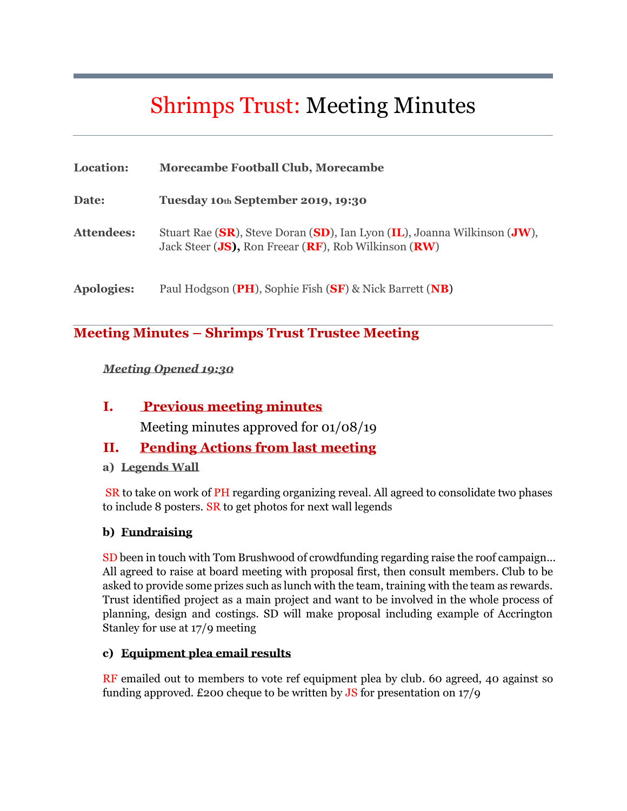# Shrimps Trust: Meeting Minutes

| Location:         | <b>Morecambe Football Club, Morecambe</b>                                                                                        |
|-------------------|----------------------------------------------------------------------------------------------------------------------------------|
| Date:             | Tuesday 10th September 2019, 19:30                                                                                               |
| <b>Attendees:</b> | Stuart Rae (SR), Steve Doran (SD), Ian Lyon (IL), Joanna Wilkinson (JW),<br>Jack Steer (JS), Ron Freear (RF), Rob Wilkinson (RW) |
| <b>Apologies:</b> | Paul Hodgson (PH), Sophie Fish (SF) & Nick Barrett (NB)                                                                          |

### **Meeting Minutes – Shrimps Trust Trustee Meeting**

#### *Meeting Opened 19:30*

#### **I. Previous meeting minutes**

Meeting minutes approved for 01/08/19

### **II. Pending Actions from last meeting**

**a) Legends Wall**

SR to take on work of PH regarding organizing reveal. All agreed to consolidate two phases to include 8 posters. SR to get photos for next wall legends

#### **b) Fundraising**

SD been in touch with Tom Brushwood of crowdfunding regarding raise the roof campaign... All agreed to raise at board meeting with proposal first, then consult members. Club to be asked to provide some prizes such as lunch with the team, training with the team as rewards. Trust identified project as a main project and want to be involved in the whole process of planning, design and costings. SD will make proposal including example of Accrington Stanley for use at 17/9 meeting

#### **c) Equipment plea email results**

RF emailed out to members to vote ref equipment plea by club. 60 agreed, 40 against so funding approved. £200 cheque to be written by  $\overline{JS}$  for presentation on 17/9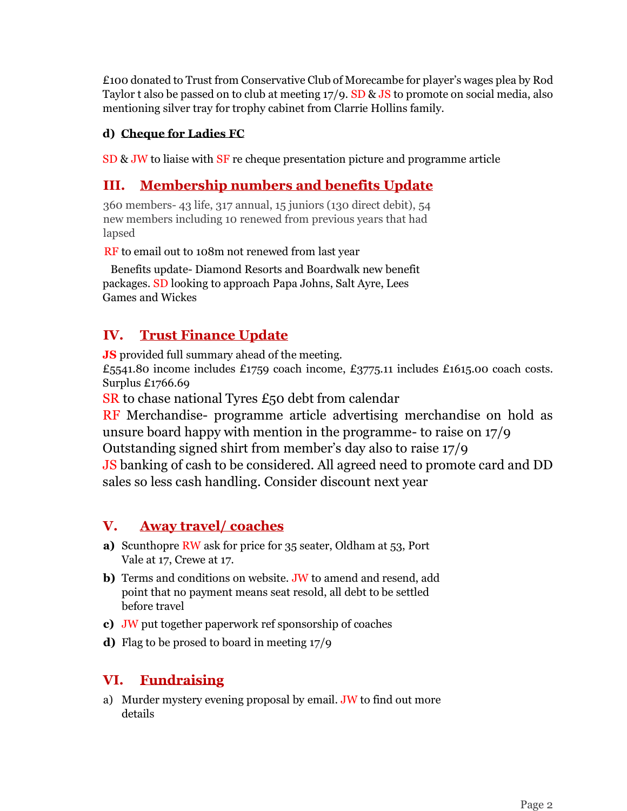£100 donated to Trust from Conservative Club of Morecambe for player's wages plea by Rod Taylor t also be passed on to club at meeting 17/9. SD & JS to promote on social media, also mentioning silver tray for trophy cabinet from Clarrie Hollins family.

#### **d) Cheque for Ladies FC**

SD & JW to liaise with SF re cheque presentation picture and programme article

## **III. Membership numbers and benefits Update**

360 members- 43 life, 317 annual, 15 juniors (130 direct debit), 54 new members including 10 renewed from previous years that had lapsed

RF to email out to 108m not renewed from last year

Benefits update- Diamond Resorts and Boardwalk new benefit packages. SD looking to approach Papa Johns, Salt Ayre, Lees Games and Wickes

## **IV. Trust Finance Update**

**JS** provided full summary ahead of the meeting. £5541.80 income includes £1759 coach income, £3775.11 includes £1615.00 coach costs. Surplus £1766.69

SR to chase national Tyres £50 debt from calendar

RF Merchandise- programme article advertising merchandise on hold as unsure board happy with mention in the programme- to raise on 17/9 Outstanding signed shirt from member's day also to raise 17/9

JS banking of cash to be considered. All agreed need to promote card and DD sales so less cash handling. Consider discount next year

## **V. Away travel/ coaches**

- **a)** Scunthopre RW ask for price for 35 seater, Oldham at 53, Port Vale at 17, Crewe at 17.
- **b)** Terms and conditions on website. JW to amend and resend, add point that no payment means seat resold, all debt to be settled before travel
- **c)** JW put together paperwork ref sponsorship of coaches
- **d)** Flag to be prosed to board in meeting 17/9

## **VI. Fundraising**

a) Murder mystery evening proposal by email. JW to find out more details